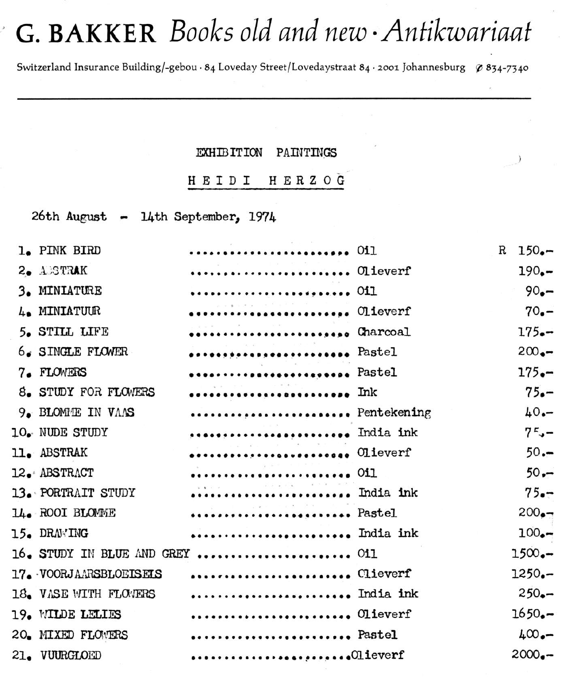## G. BAKKER Books old and new Antikwariaat

Switzerland Insurance Building/-gebou · 84 Loveday Street/Lovedaystraat 84 · 2001 Johannesburg \$834-7340

## PAINTINGS **EXHIBITION**

HEIDI HERZOG

26th August - 14th September, 1974

ľ

| 1. PINK BIRD           | 011                                                              | R | $150 -$  |
|------------------------|------------------------------------------------------------------|---|----------|
| 2. ASTRAK              | Olieverf                                                         |   | $190 -$  |
| 3. MINIATURE           | 011                                                              |   | $90 -$   |
| 4. MINIATUUR           | Olieverf                                                         |   | $70 -$   |
| 5. STILL LIFE          | Charcoal                                                         |   | $175 -$  |
| $6.$ SINGLE FLOWER     | ************************ Pastel                                  |   | $200 -$  |
| 7. FLOWERS             | ************************* Pastel                                 |   | $175 -$  |
| 8. STUDY FOR FLOWERS   | Ink                                                              |   | $75 -$   |
| 9. BLOMME IN VAAS      | Pentekening                                                      |   | $40 -$   |
| 10. NUDE STUDY         | India ink                                                        |   | $7 - -$  |
| 11. ABSTRAK            | Olieverf                                                         |   | $50 -$   |
| 12. ABSTRACT           | 011                                                              |   | $50 -$   |
| 13. PORTRAIT STUDY     | India ink                                                        |   | $75 -$   |
| 14. ROOI BLOMME        | Pastel                                                           |   | $200 -$  |
| 15. DRAWING            | India ink                                                        |   | $100 -$  |
|                        | 16. STUDY IN BLUE AND GREY  011                                  |   | $1500 -$ |
| 17. VOORJAARSBLOEISEIS | Clieverf                                                         |   | $1250 -$ |
| 18. VASE WITH FLOWERS  | India ink                                                        |   | $250 -$  |
| 19. WILDE LELIES       |                                                                  |   | $1650 -$ |
| 20. MIXED FLOWERS      | Pastel                                                           |   | $400 -$  |
| 21. VUURGLOED          | $\cdots \cdots \cdots \cdots \cdots \cdots \cdots \cdots \cdots$ |   | $2000 -$ |